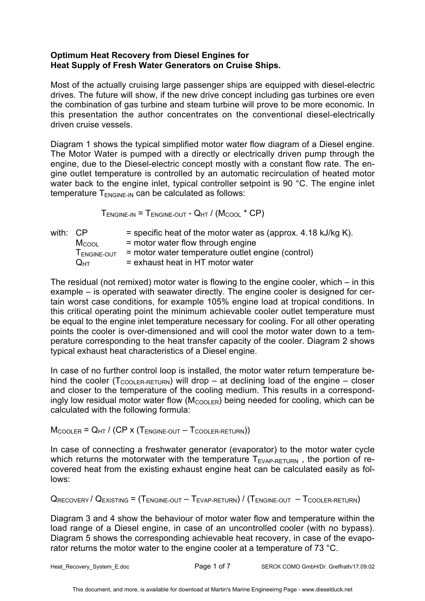## **Optimum Heat Recovery from Diesel Engines for Heat Supply of Fresh Water Generators on Cruise Ships.**

Most of the actually cruising large passenger ships are equipped with diesel-electric drives. The future will show, if the new drive concept including gas turbines ore even the combination of gas turbine and steam turbine will prove to be more economic. In this presentation the author concentrates on the conventional diesel-electrically driven cruise vessels.

Diagram 1 shows the typical simplified motor water flow diagram of a Diesel engine. The Motor Water is pumped with a directly or electrically driven pump through the engine, due to the Diesel-electric concept mostly with a constant flow rate. The engine outlet temperature is controlled by an automatic recirculation of heated motor water back to the engine inlet, typical controller setpoint is 90 °C. The engine inlet temperature  $T_{ENGINE-IN}$  can be calculated as follows:

 $T_{ENGINE-IN}$  =  $T_{ENGINE-OUT}$  -  $Q_{HT}$  / ( $M_{COOL}$  \* CP)

| with: CP | $M_{COO1}$<br>TENGINE-OUT | $=$ specific heat of the motor water as (approx. 4.18 kJ/kg K).<br>$=$ motor water flow through engine<br>= motor water temperature outlet engine (control) |
|----------|---------------------------|-------------------------------------------------------------------------------------------------------------------------------------------------------------|
|          | $Q_{\text{HT}}$           | = exhaust heat in HT motor water                                                                                                                            |

The residual (not remixed) motor water is flowing to the engine cooler, which – in this example – is operated with seawater directly. The engine cooler is designed for certain worst case conditions, for example 105% engine load at tropical conditions. In this critical operating point the minimum achievable cooler outlet temperature must be equal to the engine inlet temperature necessary for cooling. For all other operating points the cooler is over-dimensioned and will cool the motor water down to a temperature corresponding to the heat transfer capacity of the cooler. Diagram 2 shows typical exhaust heat characteristics of a Diesel engine.

In case of no further control loop is installed, the motor water return temperature behind the cooler ( $T_{\text{COOLER-RETURN}}$ ) will drop – at declining load of the engine – closer and closer to the temperature of the cooling medium. This results in a correspondingly low residual motor water flow  $(M_{\text{COOLER}})$  being needed for cooling, which can be calculated with the following formula:

 $M_{\text{COOLER}} = Q_{\text{HT}}$  / (CP x ( $T_{\text{ENGINE-OUT}} - T_{\text{COOLER-RETURN}}$ ))

In case of connecting a freshwater generator (evaporator) to the motor water cycle which returns the motorwater with the temperature  $T_{EVAP-RETURN}$ , the portion of recovered heat from the existing exhaust engine heat can be calculated easily as follows:

 $Q_{RECOVERY}$  /  $Q_{EXISTING}$  = ( $T_{ENGINE-OUT}$  –  $T_{EVAP-RETURN}$ ) / ( $T_{ENGINE-OUT}$  –  $T_{COOLER-RETURN}$ )

Diagram 3 and 4 show the behaviour of motor water flow and temperature within the load range of a Diesel engine, in case of an uncontrolled cooler (with no bypass). Diagram 5 shows the corresponding achievable heat recovery, in case of the evaporator returns the motor water to the engine cooler at a temperature of 73 °C.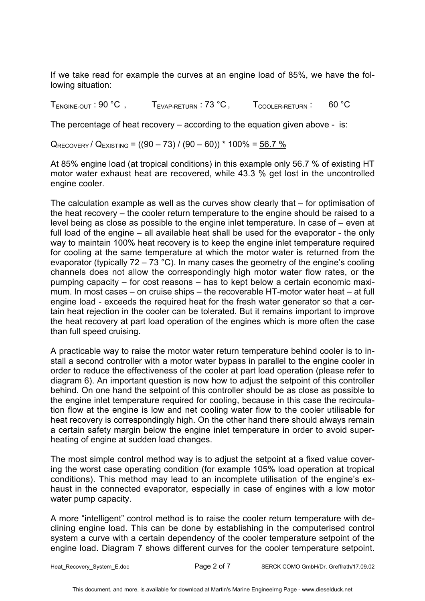If we take read for example the curves at an engine load of 85%, we have the following situation:

 $T_{ENGINE-OUT}$ : 90 °C,  $T_{EVAP-RETURN}$ : 73 °C,  $T_{COOIER-RETURN}$ : 60 °C

The percentage of heat recovery – according to the equation given above - is:

 $Q_{RECOVERT}$  /  $Q_{EXISTING}$  = ((90 – 73) / (90 – 60)) \* 100% = 56.7 %

At 85% engine load (at tropical conditions) in this example only 56.7 % of existing HT motor water exhaust heat are recovered, while 43.3 % get lost in the uncontrolled engine cooler.

The calculation example as well as the curves show clearly that – for optimisation of the heat recovery – the cooler return temperature to the engine should be raised to a level being as close as possible to the engine inlet temperature. In case of – even at full load of the engine – all available heat shall be used for the evaporator - the only way to maintain 100% heat recovery is to keep the engine inlet temperature required for cooling at the same temperature at which the motor water is returned from the evaporator (typically  $72 - 73$  °C). In many cases the geometry of the engine's cooling channels does not allow the correspondingly high motor water flow rates, or the pumping capacity – for cost reasons – has to kept below a certain economic maximum. In most cases – on cruise ships – the recoverable HT-motor water heat – at full engine load - exceeds the required heat for the fresh water generator so that a certain heat rejection in the cooler can be tolerated. But it remains important to improve the heat recovery at part load operation of the engines which is more often the case than full speed cruising.

A practicable way to raise the motor water return temperature behind cooler is to install a second controller with a motor water bypass in parallel to the engine cooler in order to reduce the effectiveness of the cooler at part load operation (please refer to diagram 6). An important question is now how to adjust the setpoint of this controller behind. On one hand the setpoint of this controller should be as close as possible to the engine inlet temperature required for cooling, because in this case the recirculation flow at the engine is low and net cooling water flow to the cooler utilisable for heat recovery is correspondingly high. On the other hand there should always remain a certain safety margin below the engine inlet temperature in order to avoid superheating of engine at sudden load changes.

The most simple control method way is to adjust the setpoint at a fixed value covering the worst case operating condition (for example 105% load operation at tropical conditions). This method may lead to an incomplete utilisation of the engine's exhaust in the connected evaporator, especially in case of engines with a low motor water pump capacity.

A more "intelligent" control method is to raise the cooler return temperature with declining engine load. This can be done by establishing in the computerised control system a curve with a certain dependency of the cooler temperature setpoint of the engine load. Diagram 7 shows different curves for the cooler temperature setpoint.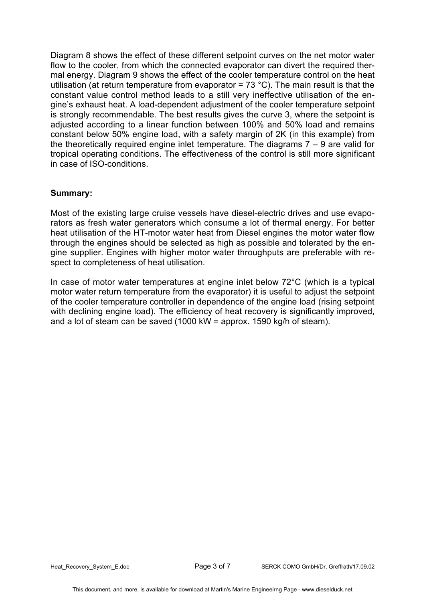Diagram 8 shows the effect of these different setpoint curves on the net motor water flow to the cooler, from which the connected evaporator can divert the required thermal energy. Diagram 9 shows the effect of the cooler temperature control on the heat utilisation (at return temperature from evaporator =  $73 \text{ }^{\circ}$ C). The main result is that the constant value control method leads to a still very ineffective utilisation of the engine's exhaust heat. A load-dependent adjustment of the cooler temperature setpoint is strongly recommendable. The best results gives the curve 3, where the setpoint is adjusted according to a linear function between 100% and 50% load and remains constant below 50% engine load, with a safety margin of 2K (in this example) from the theoretically required engine inlet temperature. The diagrams 7 – 9 are valid for tropical operating conditions. The effectiveness of the control is still more significant in case of ISO-conditions.

## **Summary:**

Most of the existing large cruise vessels have diesel-electric drives and use evaporators as fresh water generators which consume a lot of thermal energy. For better heat utilisation of the HT-motor water heat from Diesel engines the motor water flow through the engines should be selected as high as possible and tolerated by the engine supplier. Engines with higher motor water throughputs are preferable with respect to completeness of heat utilisation.

In case of motor water temperatures at engine inlet below 72°C (which is a typical motor water return temperature from the evaporator) it is useful to adjust the setpoint of the cooler temperature controller in dependence of the engine load (rising setpoint with declining engine load). The efficiency of heat recovery is significantly improved, and a lot of steam can be saved (1000 kW = approx. 1590 kg/h of steam).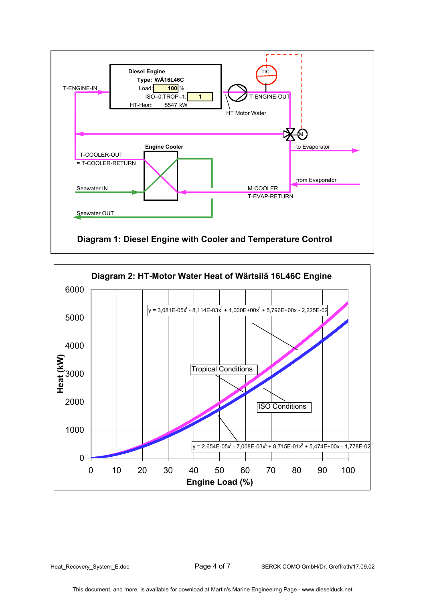



Heat\_Recovery\_System\_E.doc Page 4 of 7 SERCK COMO GmbH/Dr. Greffrath/17.09.02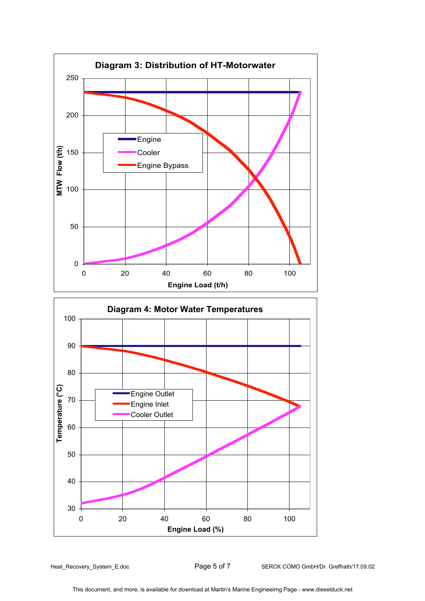

Heat\_Recovery\_System\_E.doc **Page 5 of 7** SERCK COMO GmbH/Dr. Greffrath/17.09.02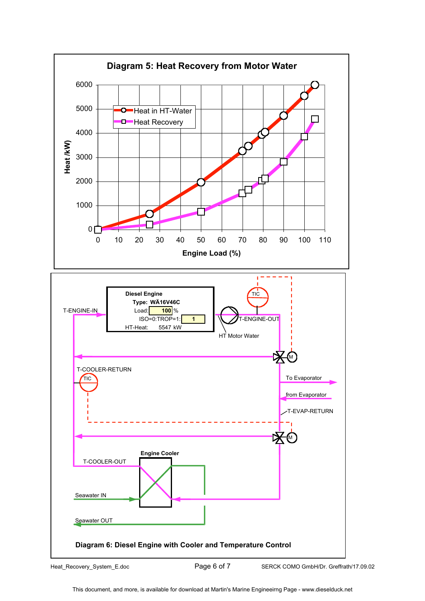

Heat\_Recovery\_System\_E.doc Page 6 of 7 SERCK COMO GmbH/Dr. Greffrath/17.09.02